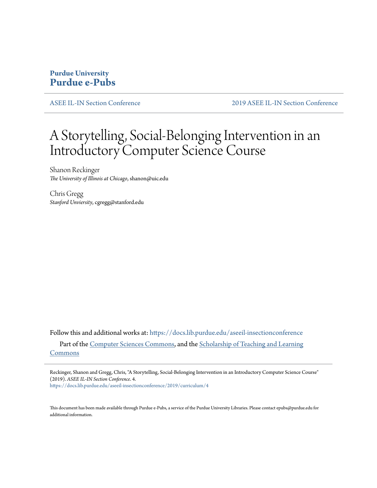# **Purdue University [Purdue e-Pubs](https://docs.lib.purdue.edu?utm_source=docs.lib.purdue.edu%2Faseeil-insectionconference%2F2019%2Fcurriculum%2F4&utm_medium=PDF&utm_campaign=PDFCoverPages)**

[ASEE IL-IN Section Conference](https://docs.lib.purdue.edu/aseeil-insectionconference?utm_source=docs.lib.purdue.edu%2Faseeil-insectionconference%2F2019%2Fcurriculum%2F4&utm_medium=PDF&utm_campaign=PDFCoverPages) [2019 ASEE IL-IN Section Conference](https://docs.lib.purdue.edu/aseeil-insectionconference/2019?utm_source=docs.lib.purdue.edu%2Faseeil-insectionconference%2F2019%2Fcurriculum%2F4&utm_medium=PDF&utm_campaign=PDFCoverPages)

# A Storytelling, Social-Belonging Intervention in an Introductory Computer Science Course

Shanon Reckinger *The University of Illinois at Chicago*, shanon@uic.edu

Chris Gregg *Stanford Unviersity*, cgregg@stanford.edu

Follow this and additional works at: [https://docs.lib.purdue.edu/aseeil-insectionconference](https://docs.lib.purdue.edu/aseeil-insectionconference?utm_source=docs.lib.purdue.edu%2Faseeil-insectionconference%2F2019%2Fcurriculum%2F4&utm_medium=PDF&utm_campaign=PDFCoverPages) Part of the [Computer Sciences Commons](http://network.bepress.com/hgg/discipline/142?utm_source=docs.lib.purdue.edu%2Faseeil-insectionconference%2F2019%2Fcurriculum%2F4&utm_medium=PDF&utm_campaign=PDFCoverPages), and the [Scholarship of Teaching and Learning](http://network.bepress.com/hgg/discipline/1328?utm_source=docs.lib.purdue.edu%2Faseeil-insectionconference%2F2019%2Fcurriculum%2F4&utm_medium=PDF&utm_campaign=PDFCoverPages) [Commons](http://network.bepress.com/hgg/discipline/1328?utm_source=docs.lib.purdue.edu%2Faseeil-insectionconference%2F2019%2Fcurriculum%2F4&utm_medium=PDF&utm_campaign=PDFCoverPages)

Reckinger, Shanon and Gregg, Chris, "A Storytelling, Social-Belonging Intervention in an Introductory Computer Science Course" (2019). *ASEE IL-IN Section Conference*. 4.

[https://docs.lib.purdue.edu/aseeil-insectionconference/2019/curriculum/4](https://docs.lib.purdue.edu/aseeil-insectionconference/2019/curriculum/4?utm_source=docs.lib.purdue.edu%2Faseeil-insectionconference%2F2019%2Fcurriculum%2F4&utm_medium=PDF&utm_campaign=PDFCoverPages)

This document has been made available through Purdue e-Pubs, a service of the Purdue University Libraries. Please contact epubs@purdue.edu for additional information.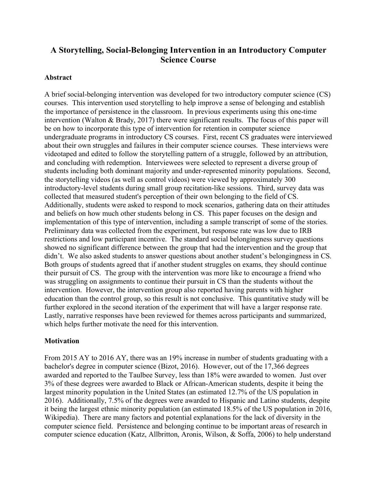# **A Storytelling, Social-Belonging Intervention in an Introductory Computer Science Course**

#### **Abstract**

A brief social-belonging intervention was developed for two introductory computer science (CS) courses. This intervention used storytelling to help improve a sense of belonging and establish the importance of persistence in the classroom. In previous experiments using this one-time intervention (Walton & Brady, 2017) there were significant results. The focus of this paper will be on how to incorporate this type of intervention for retention in computer science undergraduate programs in introductory CS courses. First, recent CS graduates were interviewed about their own struggles and failures in their computer science courses. These interviews were videotaped and edited to follow the storytelling pattern of a struggle, followed by an attribution, and concluding with redemption. Interviewees were selected to represent a diverse group of students including both dominant majority and under-represented minority populations. Second, the storytelling videos (as well as control videos) were viewed by approximately 300 introductory-level students during small group recitation-like sessions. Third, survey data was collected that measured student's perception of their own belonging to the field of CS. Additionally, students were asked to respond to mock scenarios, gathering data on their attitudes and beliefs on how much other students belong in CS. This paper focuses on the design and implementation of this type of intervention, including a sample transcript of some of the stories. Preliminary data was collected from the experiment, but response rate was low due to IRB restrictions and low participant incentive. The standard social belongingness survey questions showed no significant difference between the group that had the intervention and the group that didn't. We also asked students to answer questions about another student's belongingness in CS. Both groups of students agreed that if another student struggles on exams, they should continue their pursuit of CS. The group with the intervention was more like to encourage a friend who was struggling on assignments to continue their pursuit in CS than the students without the intervention. However, the intervention group also reported having parents with higher education than the control group, so this result is not conclusive. This quantitative study will be further explored in the second iteration of the experiment that will have a larger response rate. Lastly, narrative responses have been reviewed for themes across participants and summarized, which helps further motivate the need for this intervention.

#### **Motivation**

From 2015 AY to 2016 AY, there was an 19% increase in number of students graduating with a bachelor's degree in computer science (Bizot, 2016). However, out of the 17,366 degrees awarded and reported to the Taulbee Survey, less than 18% were awarded to women. Just over 3% of these degrees were awarded to Black or African-American students, despite it being the largest minority population in the United States (an estimated 12.7% of the US population in 2016). Additionally, 7.5% of the degrees were awarded to Hispanic and Latino students, despite it being the largest ethnic minority population (an estimated 18.5% of the US population in 2016, Wikipedia). There are many factors and potential explanations for the lack of diversity in the computer science field. Persistence and belonging continue to be important areas of research in computer science education (Katz, Allbritton, Aronis, Wilson, & Soffa, 2006) to help understand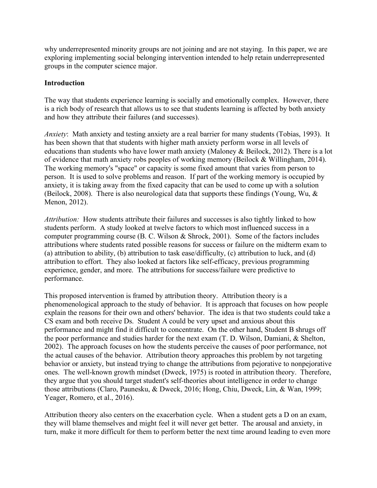why underrepresented minority groups are not joining and are not staying. In this paper, we are exploring implementing social belonging intervention intended to help retain underrepresented groups in the computer science major.

### **Introduction**

The way that students experience learning is socially and emotionally complex. However, there is a rich body of research that allows us to see that students learning is affected by both anxiety and how they attribute their failures (and successes).

*Anxiety*: Math anxiety and testing anxiety are a real barrier for many students (Tobias, 1993). It has been shown that that students with higher math anxiety perform worse in all levels of educations than students who have lower math anxiety (Maloney & Beilock, 2012). There is a lot of evidence that math anxiety robs peoples of working memory (Beilock & Willingham, 2014). The working memory's "space" or capacity is some fixed amount that varies from person to person. It is used to solve problems and reason. If part of the working memory is occupied by anxiety, it is taking away from the fixed capacity that can be used to come up with a solution (Beilock, 2008). There is also neurological data that supports these findings (Young, Wu, & Menon, 2012).

*Attribution:* How students attribute their failures and successes is also tightly linked to how students perform. A study looked at twelve factors to which most influenced success in a computer programming course (B. C. Wilson & Shrock, 2001). Some of the factors includes attributions where students rated possible reasons for success or failure on the midterm exam to (a) attribution to ability, (b) attribution to task ease/difficulty, (c) attribution to luck, and (d) attribution to effort. They also looked at factors like self-efficacy, previous programming experience, gender, and more. The attributions for success/failure were predictive to performance.

This proposed intervention is framed by attribution theory. Attribution theory is a phenomenological approach to the study of behavior. It is approach that focuses on how people explain the reasons for their own and others' behavior. The idea is that two students could take a CS exam and both receive Ds. Student A could be very upset and anxious about this performance and might find it difficult to concentrate. On the other hand, Student B shrugs off the poor performance and studies harder for the next exam (T. D. Wilson, Damiani, & Shelton, 2002). The approach focuses on how the students perceive the causes of poor performance, not the actual causes of the behavior. Attribution theory approaches this problem by not targeting behavior or anxiety, but instead trying to change the attributions from pejorative to nonpejorative ones. The well-known growth mindset (Dweck, 1975) is rooted in attribution theory. Therefore, they argue that you should target student's self-theories about intelligence in order to change those attributions (Claro, Paunesku, & Dweck, 2016; Hong, Chiu, Dweck, Lin, & Wan, 1999; Yeager, Romero, et al., 2016).

Attribution theory also centers on the exacerbation cycle. When a student gets a D on an exam, they will blame themselves and might feel it will never get better. The arousal and anxiety, in turn, make it more difficult for them to perform better the next time around leading to even more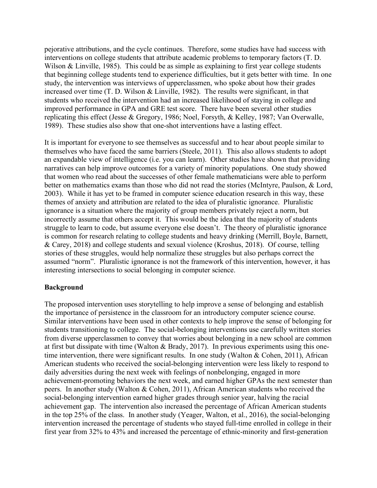pejorative attributions, and the cycle continues. Therefore, some studies have had success with interventions on college students that attribute academic problems to temporary factors (T. D. Wilson & Linville, 1985). This could be as simple as explaining to first year college students that beginning college students tend to experience difficulties, but it gets better with time. In one study, the intervention was interviews of upperclassmen, who spoke about how their grades increased over time (T. D. Wilson & Linville, 1982). The results were significant, in that students who received the intervention had an increased likelihood of staying in college and improved performance in GPA and GRE test score. There have been several other studies replicating this effect (Jesse & Gregory, 1986; Noel, Forsyth, & Kelley, 1987; Van Overwalle, 1989). These studies also show that one-shot interventions have a lasting effect.

It is important for everyone to see themselves as successful and to hear about people similar to themselves who have faced the same barriers (Steele, 2011). This also allows students to adopt an expandable view of intelligence (i.e. you can learn). Other studies have shown that providing narratives can help improve outcomes for a variety of minority populations. One study showed that women who read about the successes of other female mathematicians were able to perform better on mathematics exams than those who did not read the stories (McIntyre, Paulson, & Lord, 2003). While it has yet to be framed in computer science education research in this way, these themes of anxiety and attribution are related to the idea of pluralistic ignorance. Pluralistic ignorance is a situation where the majority of group members privately reject a norm, but incorrectly assume that others accept it. This would be the idea that the majority of students struggle to learn to code, but assume everyone else doesn't. The theory of pluralistic ignorance is common for research relating to college students and heavy drinking (Merrill, Boyle, Barnett, & Carey, 2018) and college students and sexual violence (Kroshus, 2018). Of course, telling stories of these struggles, would help normalize these struggles but also perhaps correct the assumed "norm". Pluralistic ignorance is not the framework of this intervention, however, it has interesting intersections to social belonging in computer science.

#### **Background**

The proposed intervention uses storytelling to help improve a sense of belonging and establish the importance of persistence in the classroom for an introductory computer science course. Similar interventions have been used in other contexts to help improve the sense of belonging for students transitioning to college. The social-belonging interventions use carefully written stories from diverse upperclassmen to convey that worries about belonging in a new school are common at first but dissipate with time (Walton & Brady, 2017). In previous experiments using this onetime intervention, there were significant results. In one study (Walton & Cohen, 2011), African American students who received the social-belonging intervention were less likely to respond to daily adversities during the next week with feelings of nonbelonging, engaged in more achievement-promoting behaviors the next week, and earned higher GPAs the next semester than peers. In another study (Walton & Cohen, 2011), African American students who received the social-belonging intervention earned higher grades through senior year, halving the racial achievement gap. The intervention also increased the percentage of African American students in the top 25% of the class. In another study (Yeager, Walton, et al., 2016), the social-belonging intervention increased the percentage of students who stayed full-time enrolled in college in their first year from 32% to 43% and increased the percentage of ethnic-minority and first-generation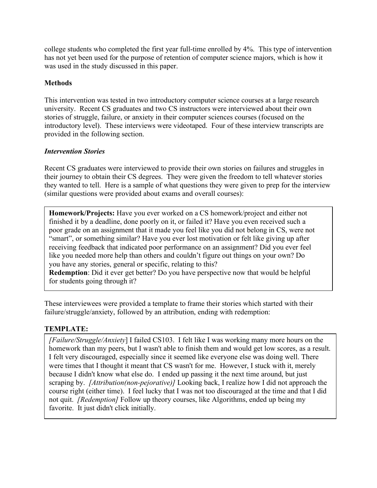college students who completed the first year full-time enrolled by 4%. This type of intervention has not yet been used for the purpose of retention of computer science majors, which is how it was used in the study discussed in this paper.

# **Methods**

This intervention was tested in two introductory computer science courses at a large research university. Recent CS graduates and two CS instructors were interviewed about their own stories of struggle, failure, or anxiety in their computer sciences courses (focused on the introductory level). These interviews were videotaped. Four of these interview transcripts are provided in the following section.

# *Intervention Stories*

Recent CS graduates were interviewed to provide their own stories on failures and struggles in their journey to obtain their CS degrees. They were given the freedom to tell whatever stories they wanted to tell. Here is a sample of what questions they were given to prep for the interview (similar questions were provided about exams and overall courses):

**Homework/Projects:** Have you ever worked on a CS homework/project and either not finished it by a deadline, done poorly on it, or failed it? Have you even received such a poor grade on an assignment that it made you feel like you did not belong in CS, were not "smart", or something similar? Have you ever lost motivation or felt like giving up after receiving feedback that indicated poor performance on an assignment? Did you ever feel like you needed more help than others and couldn't figure out things on your own? Do you have any stories, general or specific, relating to this?

**Redemption**: Did it ever get better? Do you have perspective now that would be helpful for students going through it?

These interviewees were provided a template to frame their stories which started with their failure/struggle/anxiety, followed by an attribution, ending with redemption:

# **TEMPLATE:**

*[Failure/Struggle/Anxiety*] I failed CS103. I felt like I was working many more hours on the homework than my peers, but I wasn't able to finish them and would get low scores, as a result. I felt very discouraged, especially since it seemed like everyone else was doing well. There were times that I thought it meant that CS wasn't for me. However, I stuck with it, merely because I didn't know what else do. I ended up passing it the next time around, but just scraping by. *[Attribution(non-pejorative)]* Looking back, I realize how I did not approach the course right (either time). I feel lucky that I was not too discouraged at the time and that I did not quit. *[Redemption]* Follow up theory courses, like Algorithms, ended up being my favorite. It just didn't click initially.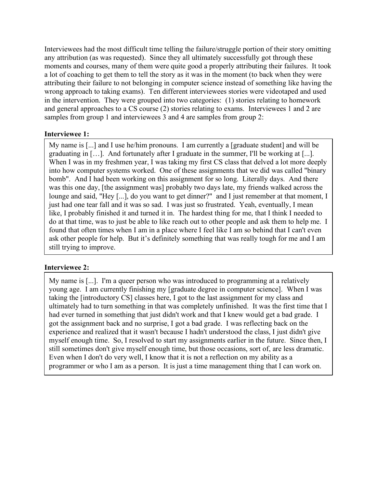Interviewees had the most difficult time telling the failure/struggle portion of their story omitting any attribution (as was requested). Since they all ultimately successfully got through these moments and courses, many of them were quite good a properly attributing their failures. It took a lot of coaching to get them to tell the story as it was in the moment (to back when they were attributing their failure to not belonging in computer science instead of something like having the wrong approach to taking exams). Ten different interviewees stories were videotaped and used in the intervention. They were grouped into two categories: (1) stories relating to homework and general approaches to a CS course (2) stories relating to exams. Interviewees 1 and 2 are samples from group 1 and interviewees 3 and 4 are samples from group 2:

#### **Interviewee 1:**

My name is [...] and I use he/him pronouns. I am currently a [graduate student] and will be graduating in […]. And fortunately after I graduate in the summer, I'll be working at [...]. When I was in my freshmen year, I was taking my first CS class that delved a lot more deeply into how computer systems worked. One of these assignments that we did was called "binary bomb". And I had been working on this assignment for so long. Literally days. And there was this one day, [the assignment was] probably two days late, my friends walked across the lounge and said, "Hey [...], do you want to get dinner?" and I just remember at that moment, I just had one tear fall and it was so sad. I was just so frustrated. Yeah, eventually, I mean like, I probably finished it and turned it in. The hardest thing for me, that I think I needed to do at that time, was to just be able to like reach out to other people and ask them to help me. I found that often times when I am in a place where I feel like I am so behind that I can't even ask other people for help. But it's definitely something that was really tough for me and I am still trying to improve.

#### **Interviewee 2:**

My name is [...]. I'm a queer person who was introduced to programming at a relatively young age. I am currently finishing my [graduate degree in computer science]. When I was taking the [introductory CS] classes here, I got to the last assignment for my class and ultimately had to turn something in that was completely unfinished. It was the first time that I had ever turned in something that just didn't work and that I knew would get a bad grade. I got the assignment back and no surprise, I got a bad grade. I was reflecting back on the experience and realized that it wasn't because I hadn't understood the class, I just didn't give myself enough time. So, I resolved to start my assignments earlier in the future. Since then, I still sometimes don't give myself enough time, but those occasions, sort of, are less dramatic. Even when I don't do very well, I know that it is not a reflection on my ability as a programmer or who I am as a person. It is just a time management thing that I can work on.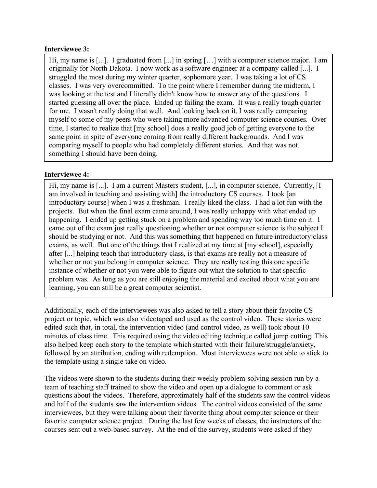#### **Interviewee 3:**

Hi, my name is [...]. I graduated from [...] in spring [...] with a computer science major. I am originally for North Dakota. I now work as a software engineer at a company called [...]. I struggled the most during my winter quarter, sophomore year. I was taking a lot of CS classes. I was very overcommitted. To the point where I remember during the midterm, I was looking at the test and I literally didn't know how to answer any of the questions. I started guessing all over the place. Ended up failing the exam. It was a really tough quarter for me. I wasn't really doing that well. And looking back on it, I was really comparing myself to some of my peers who were taking more advanced computer science courses. Over time, I started to realize that [my school] does a really good job of getting everyone to the same point in spite of everyone coming from really different backgrounds. And I was comparing myself to people who had completely different stories. And that was not something I should have been doing.

#### **Interviewee 4:**

Hi, my name is [...]. I am a current Masters student, [...], in computer science. Currently, [I am involved in teaching and assisting with] the introductory CS courses. I took [an introductory course] when I was a freshman. I really liked the class. I had a lot fun with the projects. But when the final exam came around, I was really unhappy with what ended up happening. I ended up getting stuck on a problem and spending way too much time on it. I came out of the exam just really questioning whether or not computer science is the subject I should be studying or not. And this was something that happened on future introductory class exams, as well. But one of the things that I realized at my time at [my school], especially after [...] helping teach that introductory class, is that exams are really not a measure of whether or not you belong in computer science. They are really testing this one specific instance of whether or not you were able to figure out what the solution to that specific problem was. As long as you are still enjoying the material and excited about what you are learning, you can still be a great computer scientist.

Additionally, each of the interviewees was also asked to tell a story about their favorite CS project or topic, which was also videotaped and used as the control video. These stories were edited such that, in total, the intervention video (and control video, as well) took about 10 minutes of class time. This required using the video editing technique called jump cutting. This also helped keep each story to the template which started with their failure/struggle/anxiety, followed by an attribution, ending with redemption. Most interviewees were not able to stick to the template using a single take on video.

The videos were shown to the students during their weekly problem-solving session run by a team of teaching staff trained to show the video and open up a dialogue to comment or ask questions about the videos. Therefore, approximately half of the students saw the control videos and half of the students saw the intervention videos. The control videos consisted of the same interviewees, but they were talking about their favorite thing about computer science or their favorite computer science project. During the last few weeks of classes, the instructors of the courses sent out a web-based survey. At the end of the survey, students were asked if they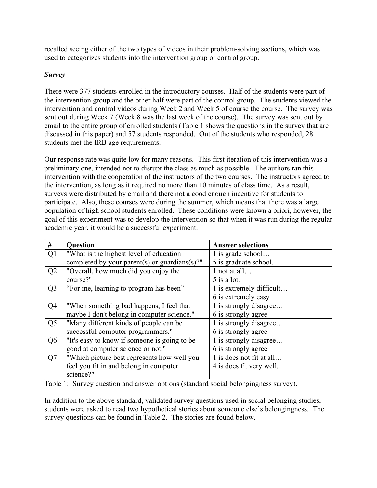recalled seeing either of the two types of videos in their problem-solving sections, which was used to categorizes students into the intervention group or control group.

# *Survey*

There were 377 students enrolled in the introductory courses. Half of the students were part of the intervention group and the other half were part of the control group. The students viewed the intervention and control videos during Week 2 and Week 5 of course the course. The survey was sent out during Week 7 (Week 8 was the last week of the course). The survey was sent out by email to the entire group of enrolled students (Table 1 shows the questions in the survey that are discussed in this paper) and 57 students responded. Out of the students who responded, 28 students met the IRB age requirements.

Our response rate was quite low for many reasons. This first iteration of this intervention was a preliminary one, intended not to disrupt the class as much as possible. The authors ran this intervention with the cooperation of the instructors of the two courses. The instructors agreed to the intervention, as long as it required no more than 10 minutes of class time. As a result, surveys were distributed by email and there not a good enough incentive for students to participate. Also, these courses were during the summer, which means that there was a large population of high school students enrolled. These conditions were known a priori, however, the goal of this experiment was to develop the intervention so that when it was run during the regular academic year, it would be a successful experiment.

| #              | Question                                      | <b>Answer selections</b> |
|----------------|-----------------------------------------------|--------------------------|
| Q1             | "What is the highest level of education"      | 1 is grade school        |
|                | completed by your parent(s) or guardians(s)?" | 5 is graduate school.    |
| Q2             | "Overall, how much did you enjoy the          | 1 not at all             |
|                | course?"                                      | 5 is a lot.              |
| Q <sub>3</sub> | "For me, learning to program has been"        | 1 is extremely difficult |
|                |                                               | 6 is extremely easy      |
| Q <sub>4</sub> | "When something bad happens, I feel that      | 1 is strongly disagree   |
|                | maybe I don't belong in computer science."    | 6 is strongly agree      |
| Q <sub>5</sub> | "Many different kinds of people can be        | 1 is strongly disagree   |
|                | successful computer programmers."             | 6 is strongly agree      |
| Q <sub>6</sub> | "It's easy to know if someone is going to be  | 1 is strongly disagree   |
|                | good at computer science or not."             | 6 is strongly agree      |
| Q7             | "Which picture best represents how well you   | 1 is does not fit at all |
|                | feel you fit in and belong in computer        | 4 is does fit very well. |
|                | science?"                                     |                          |

Table 1: Survey question and answer options (standard social belongingness survey).

In addition to the above standard, validated survey questions used in social belonging studies, students were asked to read two hypothetical stories about someone else's belongingness. The survey questions can be found in Table 2. The stories are found below.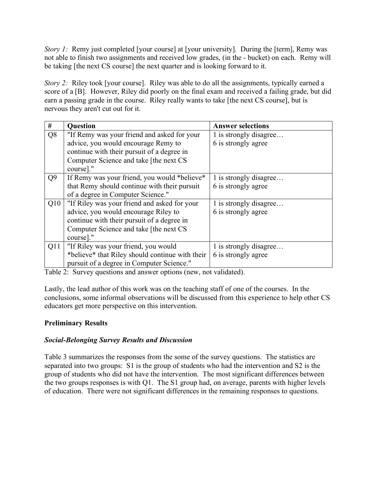*Story 1:* Remy just completed [your course] at [your university]. During the [term], Remy was not able to finish two assignments and received low grades, (in the - bucket) on each. Remy will be taking [the next CS course] the next quarter and is looking forward to it.

*Story 2:* Riley took [your course]. Riley was able to do all the assignments, typically earned a score of a [B]. However, Riley did poorly on the final exam and received a failing grade, but did earn a passing grade in the course. Riley really wants to take [the next CS course], but is nervous they aren't cut out for it.

| #              | <b>Question</b>                                 | <b>Answer selections</b> |
|----------------|-------------------------------------------------|--------------------------|
| Q <sub>8</sub> | "If Remy was your friend and asked for your     | 1 is strongly disagree   |
|                | advice, you would encourage Remy to             | 6 is strongly agree      |
|                | continue with their pursuit of a degree in      |                          |
|                | Computer Science and take [the next CS          |                          |
|                | course]."                                       |                          |
| Q <sub>9</sub> | If Remy was your friend, you would *believe*    | 1 is strongly disagree   |
|                | that Remy should continue with their pursuit    | 6 is strongly agree      |
|                | of a degree in Computer Science."               |                          |
| Q10            | "If Riley was your friend and asked for your    | 1 is strongly disagree   |
|                | advice, you would encourage Riley to            | 6 is strongly agree      |
|                | continue with their pursuit of a degree in      |                          |
|                | Computer Science and take [the next CS          |                          |
|                | course]."                                       |                          |
| Q11            | "If Riley was your friend, you would            | 1 is strongly disagree   |
|                | *believe* that Riley should continue with their | 6 is strongly agree      |
|                | pursuit of a degree in Computer Science."       |                          |

Table 2: Survey questions and answer options (new, not validated).

Lastly, the lead author of this work was on the teaching staff of one of the courses. In the conclusions, some informal observations will be discussed from this experience to help other CS educators get more perspective on this intervention.

# **Preliminary Results**

# *Social-Belonging Survey Results and Discussion*

Table 3 summarizes the responses from the some of the survey questions. The statistics are separated into two groups: S1 is the group of students who had the intervention and S2 is the group of students who did not have the intervention. The most significant differences between the two groups responses is with Q1. The S1 group had, on average, parents with higher levels of education. There were not significant differences in the remaining responses to questions.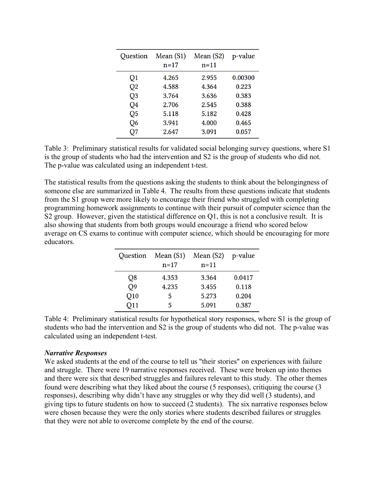| Question       | Mean $(S1)$<br>$n = 17$ | Mean $(S2)$<br>$n = 11$ | p-value |
|----------------|-------------------------|-------------------------|---------|
| Q1             | 4.265                   | 2.955                   | 0.00300 |
| Q <sub>2</sub> | 4.588                   | 4.364                   | 0.223   |
| Q <sub>3</sub> | 3.764                   | 3.636                   | 0.383   |
| Q4             | 2.706                   | 2.545                   | 0.388   |
| Q <sub>5</sub> | 5.118                   | 5.182                   | 0.428   |
| Q6             | 3.941                   | 4.000                   | 0.465   |
| O7             | 2.647                   | 3.091                   | 0.057   |

Table 3: Preliminary statistical results for validated social belonging survey questions, where S1 is the group of students who had the intervention and S2 is the group of students who did not. The p-value was calculated using an independent t-test.

The statistical results from the questions asking the students to think about the belongingness of someone else are summarized in Table 4. The results from these questions indicate that students from the S1 group were more likely to encourage their friend who struggled with completing programming homework assignments to continue with their pursuit of computer science than the S2 group. However, given the statistical difference on Q1, this is not a conclusive result. It is also showing that students from both groups would encourage a friend who scored below average on CS exams to continue with computer science, which should be encouraging for more educators.

| Question | Mean $(S1)$<br>$n = 17$ | Mean $(S2)$<br>$n = 11$ | p-value |
|----------|-------------------------|-------------------------|---------|
| Q8       | 4.353                   | 3.364                   | 0.0417  |
| Q9       | 4.235                   | 3.455                   | 0.118   |
| Q10      | 5                       | 5.273                   | 0.204   |
| Q11      | 5                       | 5.091                   | 0.387   |

Table 4: Preliminary statistical results for hypothetical story responses, where S1 is the group of students who had the intervention and S2 is the group of students who did not. The p-value was calculated using an independent t-test.

#### *Narrative Responses*

We asked students at the end of the course to tell us "their stories" on experiences with failure and struggle. There were 19 narrative responses received. These were broken up into themes and there were six that described struggles and failures relevant to this study. The other themes found were describing what they liked about the course (5 responses), critiquing the course (3 responses), describing why didn't have any struggles or why they did well (3 students), and giving tips to future students on how to succeed (2 students). The six narrative responses below were chosen because they were the only stories where students described failures or struggles that they were not able to overcome complete by the end of the course.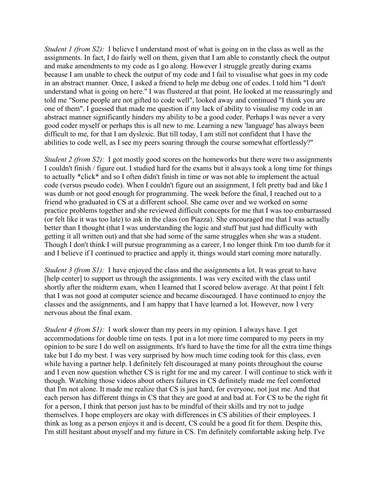*Student 1 (from S2)*: I believe I understand most of what is going on in the class as well as the assignments. In fact, I do fairly well on them, given that I am able to constantly check the output and make amendments to my code as I go along. However I struggle greatly during exams because I am unable to check the output of my code and I fail to visualise what goes in my code in an abstract manner. Once, I asked a friend to help me debug one of codes. I told him "I don't understand what is going on here." I was flustered at that point. He looked at me reassuringly and told me "Some people are not gifted to code well", looked away and continued "I think you are one of them". I guessed that made me question if my lack of ability to visualise my code in an abstract manner significantly hinders my ability to be a good coder. Perhaps I was never a very good coder myself or perhaps this is all new to me. Learning a new 'language' has always been difficult to me, for that I am dyslexic. But till today, I am still not confident that I have the abilities to code well, as I see my peers soaring through the course somewhat effortlessly?"

*Student 2 (from S2):* I got mostly good scores on the homeworks but there were two assignments I couldn't finish / figure out. I studied hard for the exams but it always took a long time for things to actually \*click\* and so I often didn't finish in time or was not able to implement the actual code (versus pseudo code). When I couldn't figure out an assignment, I felt pretty bad and like I was dumb or not good enough for programming. The week before the final, I reached out to a friend who graduated in CS at a different school. She came over and we worked on some practice problems together and she reviewed difficult concepts for me that I was too embarrassed (or felt like it was too late) to ask in the class (on Piazza). She encouraged me that I was actually better than I thought (that I was understanding the logic and stuff but just had difficulty with getting it all written out) and that she had some of the same struggles when she was a student. Though I don't think I will pursue programming as a career, I no longer think I'm too dumb for it and I believe if I continued to practice and apply it, things would start coming more naturally.

*Student 3 (from S1)*: I have enjoyed the class and the assignments a lot. It was great to have [help center] to support us through the assignments. I was very excited with the class until shortly after the midterm exam, when I learned that I scored below average. At that point I felt that I was not good at computer science and became discouraged. I have continued to enjoy the classes and the assignments, and I am happy that I have learned a lot. However, now I very nervous about the final exam.

*Student 4 (from S1)*: I work slower than my peers in my opinion. I always have. I get accommodations for double time on tests. I put in a lot more time compared to my peers in my opinion to be sure I do well on assignments. It's hard to have the time for all the extra time things take but I do my best. I was very surprised by how much time coding took for this class, even while having a partner help. I definitely felt discouraged at many points throughout the course and I even now question whether CS is right for me and my career. I will continue to stick with it though. Watching those videos about others failures in CS definitely made me feel comforted that I'm not alone. It made me realize that CS is just hard, for everyone, not just me. And that each person has different things in CS that they are good at and bad at. For CS to be the right fit for a person, I think that person just has to be mindful of their skills and try not to judge themselves. I hope employers are okay with differences in CS abilities of their employees. I think as long as a person enjoys it and is decent, CS could be a good fit for them. Despite this, I'm still hesitant about myself and my future in CS. I'm definitely comfortable asking help. I've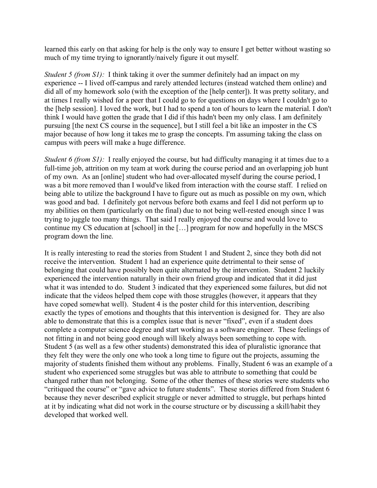learned this early on that asking for help is the only way to ensure I get better without wasting so much of my time trying to ignorantly/naively figure it out myself.

*Student 5 (from S1)*: I think taking it over the summer definitely had an impact on my experience -- I lived off-campus and rarely attended lectures (instead watched them online) and did all of my homework solo (with the exception of the [help center]). It was pretty solitary, and at times I really wished for a peer that I could go to for questions on days where I couldn't go to the [help session]. I loved the work, but I had to spend a ton of hours to learn the material. I don't think I would have gotten the grade that I did if this hadn't been my only class. I am definitely pursuing [the next CS course in the sequence], but I still feel a bit like an imposter in the CS major because of how long it takes me to grasp the concepts. I'm assuming taking the class on campus with peers will make a huge difference.

*Student 6 (from S1)*: I really enjoyed the course, but had difficulty managing it at times due to a full-time job, attrition on my team at work during the course period and an overlapping job hunt of my own. As an [online] student who had over-allocated myself during the course period, I was a bit more removed than I would've liked from interaction with the course staff. I relied on being able to utilize the background I have to figure out as much as possible on my own, which was good and bad. I definitely got nervous before both exams and feel I did not perform up to my abilities on them (particularly on the final) due to not being well-rested enough since I was trying to juggle too many things. That said I really enjoyed the course and would love to continue my CS education at [school] in the […] program for now and hopefully in the MSCS program down the line.

It is really interesting to read the stories from Student 1 and Student 2, since they both did not receive the intervention. Student 1 had an experience quite detrimental to their sense of belonging that could have possibly been quite alternated by the intervention. Student 2 luckily experienced the intervention naturally in their own friend group and indicated that it did just what it was intended to do. Student 3 indicated that they experienced some failures, but did not indicate that the videos helped them cope with those struggles (however, it appears that they have coped somewhat well). Student 4 is the poster child for this intervention, describing exactly the types of emotions and thoughts that this intervention is designed for. They are also able to demonstrate that this is a complex issue that is never "fixed", even if a student does complete a computer science degree and start working as a software engineer. These feelings of not fitting in and not being good enough will likely always been something to cope with. Student 5 (as well as a few other students) demonstrated this idea of pluralistic ignorance that they felt they were the only one who took a long time to figure out the projects, assuming the majority of students finished them without any problems. Finally, Student 6 was an example of a student who experienced some struggles but was able to attribute to something that could be changed rather than not belonging. Some of the other themes of these stories were students who "critiqued the course" or "gave advice to future students". These stories differed from Student 6 because they never described explicit struggle or never admitted to struggle, but perhaps hinted at it by indicating what did not work in the course structure or by discussing a skill/habit they developed that worked well.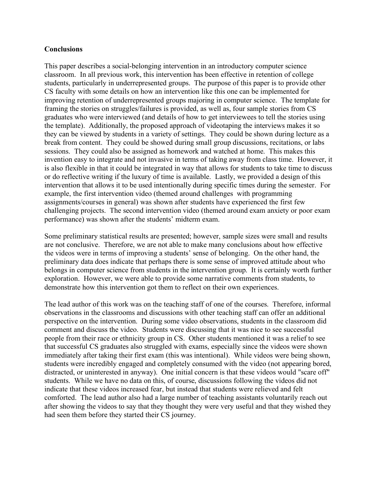#### **Conclusions**

This paper describes a social-belonging intervention in an introductory computer science classroom. In all previous work, this intervention has been effective in retention of college students, particularly in underrepresented groups. The purpose of this paper is to provide other CS faculty with some details on how an intervention like this one can be implemented for improving retention of underrepresented groups majoring in computer science. The template for framing the stories on struggles/failures is provided, as well as, four sample stories from CS graduates who were interviewed (and details of how to get interviewees to tell the stories using the template). Additionally, the proposed approach of videotaping the interviews makes it so they can be viewed by students in a variety of settings. They could be shown during lecture as a break from content. They could be showed during small group discussions, recitations, or labs sessions. They could also be assigned as homework and watched at home. This makes this invention easy to integrate and not invasive in terms of taking away from class time. However, it is also flexible in that it could be integrated in way that allows for students to take time to discuss or do reflective writing if the luxury of time is available. Lastly, we provided a design of this intervention that allows it to be used intentionally during specific times during the semester. For example, the first intervention video (themed around challenges with programming assignments/courses in general) was shown after students have experienced the first few challenging projects. The second intervention video (themed around exam anxiety or poor exam performance) was shown after the students' midterm exam.

Some preliminary statistical results are presented; however, sample sizes were small and results are not conclusive. Therefore, we are not able to make many conclusions about how effective the videos were in terms of improving a students' sense of belonging. On the other hand, the preliminary data does indicate that perhaps there is some sense of improved attitude about who belongs in computer science from students in the intervention group. It is certainly worth further exploration. However, we were able to provide some narrative comments from students, to demonstrate how this intervention got them to reflect on their own experiences.

The lead author of this work was on the teaching staff of one of the courses. Therefore, informal observations in the classrooms and discussions with other teaching staff can offer an additional perspective on the intervention. During some video observations, students in the classroom did comment and discuss the video. Students were discussing that it was nice to see successful people from their race or ethnicity group in CS. Other students mentioned it was a relief to see that successful CS graduates also struggled with exams, especially since the videos were shown immediately after taking their first exam (this was intentional). While videos were being shown, students were incredibly engaged and completely consumed with the video (not appearing bored, distracted, or uninterested in anyway). One initial concern is that these videos would "scare off" students. While we have no data on this, of course, discussions following the videos did not indicate that these videos increased fear, but instead that students were relieved and felt comforted. The lead author also had a large number of teaching assistants voluntarily reach out after showing the videos to say that they thought they were very useful and that they wished they had seen them before they started their CS journey.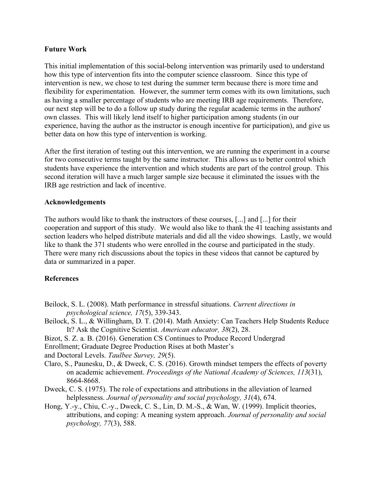#### **Future Work**

This initial implementation of this social-belong intervention was primarily used to understand how this type of intervention fits into the computer science classroom. Since this type of intervention is new, we chose to test during the summer term because there is more time and flexibility for experimentation. However, the summer term comes with its own limitations, such as having a smaller percentage of students who are meeting IRB age requirements. Therefore, our next step will be to do a follow up study during the regular academic terms in the authors' own classes. This will likely lend itself to higher participation among students (in our experience, having the author as the instructor is enough incentive for participation), and give us better data on how this type of intervention is working.

After the first iteration of testing out this intervention, we are running the experiment in a course for two consecutive terms taught by the same instructor. This allows us to better control which students have experience the intervention and which students are part of the control group. This second iteration will have a much larger sample size because it eliminated the issues with the IRB age restriction and lack of incentive.

#### **Acknowledgements**

The authors would like to thank the instructors of these courses, [...] and [...] for their cooperation and support of this study. We would also like to thank the 41 teaching assistants and section leaders who helped distribute materials and did all the video showings. Lastly, we would like to thank the 371 students who were enrolled in the course and participated in the study. There were many rich discussions about the topics in these videos that cannot be captured by data or summarized in a paper.

# **References**

- Beilock, S. L. (2008). Math performance in stressful situations. *Current directions in psychological science, 17*(5), 339-343.
- Beilock, S. L., & Willingham, D. T. (2014). Math Anxiety: Can Teachers Help Students Reduce It? Ask the Cognitive Scientist. *American educator, 38*(2), 28.
- Bizot, S. Z. a. B. (2016). Generation CS Continues to Produce Record Undergrad
- Enrollment; Graduate Degree Production Rises at both Master's

and Doctoral Levels. *Taulbee Survey, 29*(5).

- Claro, S., Paunesku, D., & Dweck, C. S. (2016). Growth mindset tempers the effects of poverty on academic achievement. *Proceedings of the National Academy of Sciences, 113*(31), 8664-8668.
- Dweck, C. S. (1975). The role of expectations and attributions in the alleviation of learned helplessness. *Journal of personality and social psychology, 31*(4), 674.
- Hong, Y.-y., Chiu, C.-y., Dweck, C. S., Lin, D. M.-S., & Wan, W. (1999). Implicit theories, attributions, and coping: A meaning system approach. *Journal of personality and social psychology, 77*(3), 588.